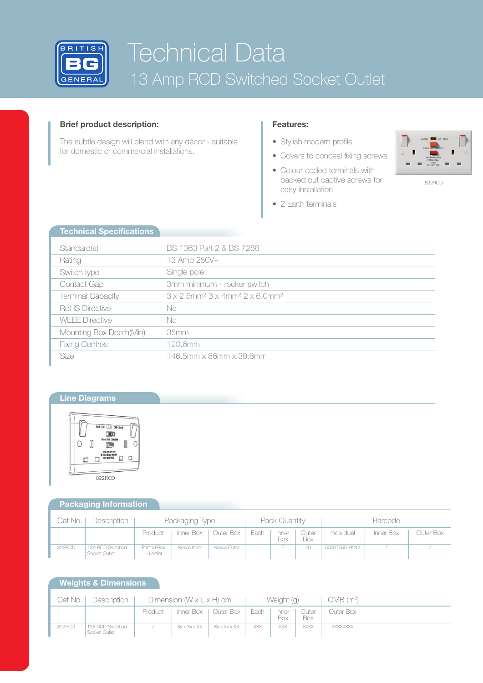

# Technical Data 13 Amp RCD Switched Socket Outlet

# **Brief product description:**

The subtle design will blend with any décor - suitable for domestic or commercial installations.

# **Features:**

• Stylish modern profile

• 2 Earth terminals

- Covers to conceal fixing screws
- Colour coded terminals with backed out captive screws for easy installation



<sup>822</sup>RCD

| <b>Technical Specifications</b> |                                                                                            |
|---------------------------------|--------------------------------------------------------------------------------------------|
| Standard(s)                     | BS 1363 Part 2 & BS 7288                                                                   |
| Rating                          | 13 Amp 250V~                                                                               |
| Switch type                     | Single pole                                                                                |
| Contact Gap                     | 3mm minimum - rocker switch                                                                |
| <b>Terminal Capacity</b>        | $3 \times 2.5$ mm <sup>2</sup> $3 \times 4$ mm <sup>2</sup> $2 \times 6.0$ mm <sup>2</sup> |
| RoHS Directive                  | No                                                                                         |
| <b>WFFF Directive</b>           | No                                                                                         |
| Mounting Box Depth(Min)         | 35mm                                                                                       |
| <b>Fixing Centres</b>           | 120.6mm                                                                                    |
| <b>Size</b>                     | 146.5mm x 86mm x 39.6mm                                                                    |

# **Line Diagrams**



# **Packaging Information**

| Cat No. | Description                       | Packaging Type           |             |                       | Pack Quantity |              |              | <b>Barcode</b> |           |           |
|---------|-----------------------------------|--------------------------|-------------|-----------------------|---------------|--------------|--------------|----------------|-----------|-----------|
|         |                                   | Product                  |             | Inner Box   Outer Box | Each          | Inner<br>Box | Outer<br>Box | Individual     | Inner Box | Outer Box |
| 822RCD  | 13A RCD Switched<br>Socket Outlet | Printed Box<br>+ Leaflet | Nexus Inner | Nexus Outer           |               |              | 30           | 5050765008242  |           |           |

# **Weights & Dimensions**

| Cat No. | Description                       | Dimension $(W \times L \times H)$ cm |          | Weight (g)            |      | $CMB$ (m <sup>3</sup> ) |              |                 |
|---------|-----------------------------------|--------------------------------------|----------|-----------------------|------|-------------------------|--------------|-----------------|
|         |                                   | Product                              |          | Inner Box   Outer Box | Each | Inner<br>Box            | Outer<br>Box | Outer Box       |
| 822RCD  | 13A RCD Switched<br>Socket Outlet |                                      | XxxXxxXX | Xx x Xx x XX          | XXX  | XXX                     | <b>XXXX</b>  | <b>XXXXXXXX</b> |